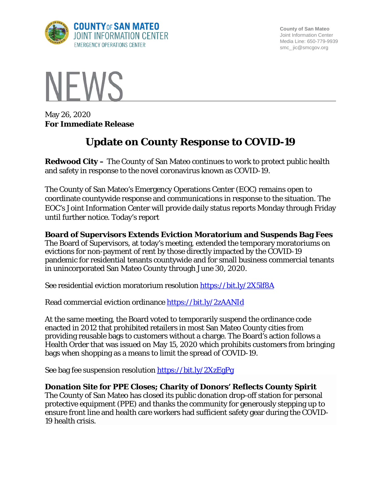

**County of San Mateo** Joint Information Center Media Line: 650-779-9939 smc\_ jic@smcgov.org



May 26, 2020 **For Immediate Release**

# **Update on County Response to COVID-19**

**Redwood City –** The County of San Mateo continues to work to protect public health and safety in response to the novel coronavirus known as COVID-19.

The County of San Mateo's Emergency Operations Center (EOC) remains open to coordinate countywide response and communications in response to the situation. The EOC's Joint Information Center will provide daily status reports Monday through Friday until further notice. Today's report

**Board of Supervisors Extends Eviction Moratorium and Suspends Bag Fees**  The Board of Supervisors, at today's meeting, extended the temporary moratoriums on evictions for non-payment of rent by those directly impacted by the COVID-19 pandemic for residential tenants countywide and for small business commercial tenants in unincorporated San Mateo County through June 30, 2020.

See residential eviction moratorium resolution<https://bit.ly/2X5lf8A>

Read commercial eviction ordinance<https://bit.ly/2zAANId>

At the same meeting, the Board voted to temporarily suspend the ordinance code enacted in 2012 that prohibited retailers in most San Mateo County cities from providing reusable bags to customers without a charge. The Board's action follows a Health Order that was issued on May 15, 2020 which prohibits customers from bringing bags when shopping as a means to limit the spread of COVID-19.

See bag fee suspension resolution<https://bit.ly/2XzEgPg>

## **Donation Site for PPE Closes; Charity of Donors' Reflects County Spirit**

The County of San Mateo has closed its public donation drop-off station for personal protective equipment (PPE) and thanks the community for generously stepping up to ensure front line and health care workers had sufficient safety gear during the COVID-19 health crisis.